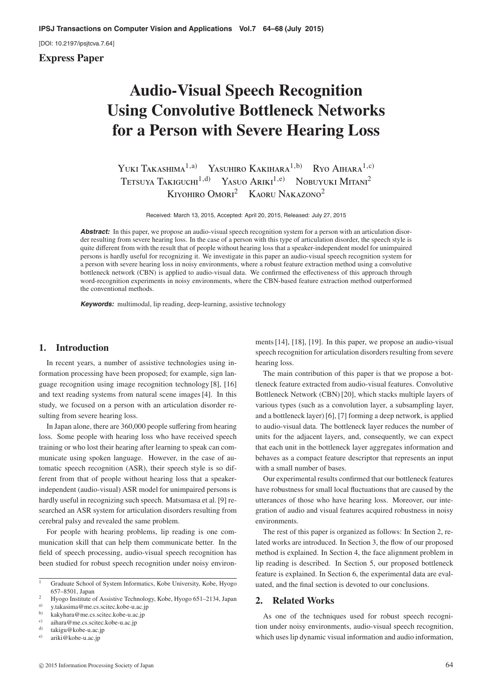[DOI: 10.2197/ipsjtcva.7.64]

**Express Paper**

# **Audio-Visual Speech Recognition Using Convolutive Bottleneck Networks for a Person with Severe Hearing Loss**

Yuki Takashima<sup>1,a)</sup> Yasuhiro Kakihara<sup>1,b)</sup> Ryo Aihara<sup>1,c)</sup> Tetsuya Takiguchi<sup>1,d)</sup> Yasuo Ariki<sup>1,e)</sup> Nobuyuki Mitani<sup>2</sup> Kiyohiro Omori<sup>2</sup> Kaoru Nakazono<sup>2</sup>

Received: March 13, 2015, Accepted: April 20, 2015, Released: July 27, 2015

**Abstract:** In this paper, we propose an audio-visual speech recognition system for a person with an articulation disorder resulting from severe hearing loss. In the case of a person with this type of articulation disorder, the speech style is quite different from with the result that of people without hearing loss that a speaker-independent model for unimpaired persons is hardly useful for recognizing it. We investigate in this paper an audio-visual speech recognition system for a person with severe hearing loss in noisy environments, where a robust feature extraction method using a convolutive bottleneck network (CBN) is applied to audio-visual data. We confirmed the effectiveness of this approach through word-recognition experiments in noisy environments, where the CBN-based feature extraction method outperformed the conventional methods.

**Keywords:** multimodal, lip reading, deep-learning, assistive technology

## **1. Introduction**

In recent years, a number of assistive technologies using information processing have been proposed; for example, sign language recognition using image recognition technology [8], [16] and text reading systems from natural scene images [4]. In this study, we focused on a person with an articulation disorder resulting from severe hearing loss.

In Japan alone, there are 360,000 people suffering from hearing loss. Some people with hearing loss who have received speech training or who lost their hearing after learning to speak can communicate using spoken language. However, in the case of automatic speech recognition (ASR), their speech style is so different from that of people without hearing loss that a speakerindependent (audio-visual) ASR model for unimpaired persons is hardly useful in recognizing such speech. Matsumasa et al. [9] researched an ASR system for articulation disorders resulting from cerebral palsy and revealed the same problem.

For people with hearing problems, lip reading is one communication skill that can help them communicate better. In the field of speech processing, audio-visual speech recognition has been studied for robust speech recognition under noisy environ-

a) y.takasima@me.cs.scitec.kobe-u.ac.jp

-c 2015 Information Processing Society of Japan 64

ments [14], [18], [19]. In this paper, we propose an audio-visual speech recognition for articulation disorders resulting from severe hearing loss.

The main contribution of this paper is that we propose a bottleneck feature extracted from audio-visual features. Convolutive Bottleneck Network (CBN) [20], which stacks multiple layers of various types (such as a convolution layer, a subsampling layer, and a bottleneck layer) [6], [7] forming a deep network, is applied to audio-visual data. The bottleneck layer reduces the number of units for the adjacent layers, and, consequently, we can expect that each unit in the bottleneck layer aggregates information and behaves as a compact feature descriptor that represents an input with a small number of bases.

Our experimental results confirmed that our bottleneck features have robustness for small local fluctuations that are caused by the utterances of those who have hearing loss. Moreover, our integration of audio and visual features acquired robustness in noisy environments.

The rest of this paper is organized as follows: In Section 2, related works are introduced. In Section 3, the flow of our proposed method is explained. In Section 4, the face alignment problem in lip reading is described. In Section 5, our proposed bottleneck feature is explained. In Section 6, the experimental data are evaluated, and the final section is devoted to our conclusions.

# **2. Related Works**

As one of the techniques used for robust speech recognition under noisy environments, audio-visual speech recognition, which uses lip dynamic visual information and audio information,

<sup>&</sup>lt;sup>1</sup> Graduate School of System Informatics, Kobe University, Kobe, Hyogo 657–8501, Japan

<sup>&</sup>lt;sup>2</sup> Hyogo Institute of Assistive Technology, Kobe, Hyogo 651–2134, Japan

b) kakyhara@me.cs.scitec.kobe-u.ac.jp

<sup>&</sup>lt;sup>c)</sup> aihara@me.cs.scitec.kobe-u.ac.jp<br> $^{d)}$  tokiau@kobe.u.ac.jp

<sup>&</sup>lt;sup>d)</sup> takigu@kobe-u.ac.jp<br><sup>e)</sup> oriki@kobe.u.ac.jp ariki@kobe-u.ac.jp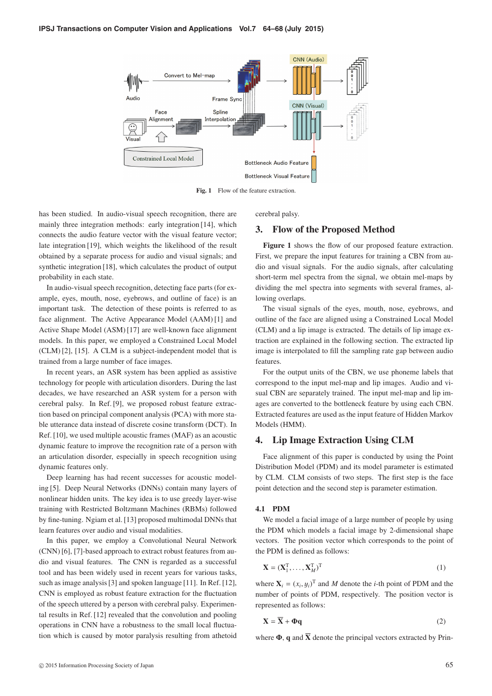

Fig. 1 Flow of the feature extraction.

has been studied. In audio-visual speech recognition, there are mainly three integration methods: early integration [14], which connects the audio feature vector with the visual feature vector; late integration [19], which weights the likelihood of the result obtained by a separate process for audio and visual signals; and synthetic integration [18], which calculates the product of output probability in each state.

In audio-visual speech recognition, detecting face parts (for example, eyes, mouth, nose, eyebrows, and outline of face) is an important task. The detection of these points is referred to as face alignment. The Active Appearance Model (AAM) [1] and Active Shape Model (ASM) [17] are well-known face alignment models. In this paper, we employed a Constrained Local Model (CLM) [2], [15]. A CLM is a subject-independent model that is trained from a large number of face images.

In recent years, an ASR system has been applied as assistive technology for people with articulation disorders. During the last decades, we have researched an ASR system for a person with cerebral palsy. In Ref. [9], we proposed robust feature extraction based on principal component analysis (PCA) with more stable utterance data instead of discrete cosine transform (DCT). In Ref. [10], we used multiple acoustic frames (MAF) as an acoustic dynamic feature to improve the recognition rate of a person with an articulation disorder, especially in speech recognition using dynamic features only.

Deep learning has had recent successes for acoustic modeling [5]. Deep Neural Networks (DNNs) contain many layers of nonlinear hidden units. The key idea is to use greedy layer-wise training with Restricted Boltzmann Machines (RBMs) followed by fine-tuning. Ngiam et al. [13] proposed multimodal DNNs that learn features over audio and visual modalities.

In this paper, we employ a Convolutional Neural Network (CNN) [6], [7]-based approach to extract robust features from audio and visual features. The CNN is regarded as a successful tool and has been widely used in recent years for various tasks, such as image analysis [3] and spoken language [11]. In Ref. [12], CNN is employed as robust feature extraction for the fluctuation of the speech uttered by a person with cerebral palsy. Experimental results in Ref. [12] revealed that the convolution and pooling operations in CNN have a robustness to the small local fluctuation which is caused by motor paralysis resulting from athetoid cerebral palsy.

# **3. Flow of the Proposed Method**

**Figure 1** shows the flow of our proposed feature extraction. First, we prepare the input features for training a CBN from audio and visual signals. For the audio signals, after calculating short-term mel spectra from the signal, we obtain mel-maps by dividing the mel spectra into segments with several frames, allowing overlaps.

The visual signals of the eyes, mouth, nose, eyebrows, and outline of the face are aligned using a Constrained Local Model (CLM) and a lip image is extracted. The details of lip image extraction are explained in the following section. The extracted lip image is interpolated to fill the sampling rate gap between audio features.

For the output units of the CBN, we use phoneme labels that correspond to the input mel-map and lip images. Audio and visual CBN are separately trained. The input mel-map and lip images are converted to the bottleneck feature by using each CBN. Extracted features are used as the input feature of Hidden Markov Models (HMM).

# **4. Lip Image Extraction Using CLM**

Face alignment of this paper is conducted by using the Point Distribution Model (PDM) and its model parameter is estimated by CLM. CLM consists of two steps. The first step is the face point detection and the second step is parameter estimation.

### **4.1 PDM**

We model a facial image of a large number of people by using the PDM which models a facial image by 2-dimensional shape vectors. The position vector which corresponds to the point of the PDM is defined as follows:

$$
\mathbf{X} = (\mathbf{X}_1^{\mathrm{T}}, \dots, \mathbf{X}_M^{\mathrm{T}})^{\mathrm{T}}
$$
 (1)

where  $X_i = (x_i, y_i)^T$  and *M* denote the *i*-th point of PDM and the number of points of PDM, respectively. The position vector is represented as follows:

$$
\mathbf{X} = \overline{\mathbf{X}} + \mathbf{\Phi}\mathbf{q} \tag{2}
$$

where  $\Phi$ , **q** and  $\overline{X}$  denote the principal vectors extracted by Prin-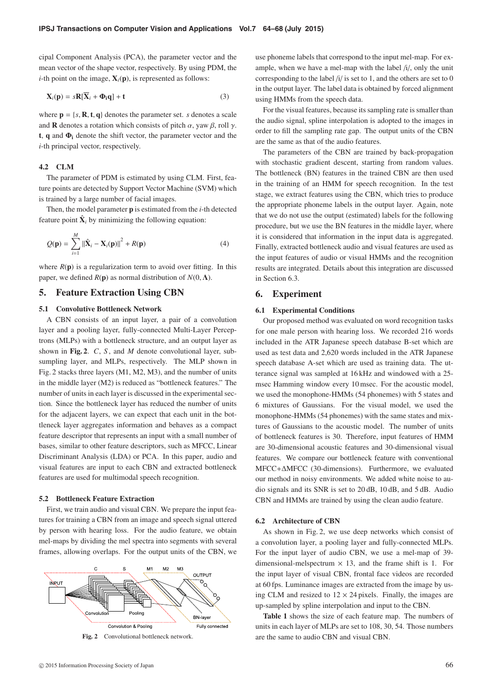cipal Component Analysis (PCA), the parameter vector and the mean vector of the shape vector, respectively. By using PDM, the *i*-th point on the image,  $X_i(p)$ , is represented as follows:

$$
\mathbf{X}_i(\mathbf{p}) = s\mathbf{R}[\mathbf{X}_i + \mathbf{\Phi}_i \mathbf{q}] + \mathbf{t}
$$
\n(3)

where  $\mathbf{p} = \{s, \mathbf{R}, \mathbf{t}, \mathbf{q}\}$  denotes the parameter set. *s* denotes a scale and **R** denotes a rotation which consists of pitch  $\alpha$ , yaw  $\beta$ , roll  $\gamma$ . **t**, **q** and Φ**<sup>i</sup>** denote the shift vector, the parameter vector and the *i*-th principal vector, respectively.

#### **4.2 CLM**

The parameter of PDM is estimated by using CLM. First, feature points are detected by Support Vector Machine (SVM) which is trained by a large number of facial images.

Then, the model parameter **p** is estimated from the *i*-th detected feature point  $\hat{\mathbf{X}}_i$  by minimizing the following equation:

$$
Q(\mathbf{p}) = \sum_{i=1}^{M} \left\| \hat{\mathbf{X}}_i - \mathbf{X}_i(\mathbf{p}) \right\|^2 + R(\mathbf{p})
$$
\n(4)

where  $R(\mathbf{p})$  is a regularization term to avoid over fitting. In this paper, we defined  $R(\mathbf{p})$  as normal distribution of  $N(0, \Lambda)$ .

## **5. Feature Extraction Using CBN**

# **5.1 Convolutive Bottleneck Network**

A CBN consists of an input layer, a pair of a convolution layer and a pooling layer, fully-connected Multi-Layer Perceptrons (MLPs) with a bottleneck structure, and an output layer as shown in **Fig. 2**. *C*, *S* , and *M* denote convolutional layer, subsumpling layer, and MLPs, respectively. The MLP shown in Fig. 2 stacks three layers (M1, M2, M3), and the number of units in the middle layer (M2) is reduced as "bottleneck features." The number of units in each layer is discussed in the experimental section. Since the bottleneck layer has reduced the number of units for the adjacent layers, we can expect that each unit in the bottleneck layer aggregates information and behaves as a compact feature descriptor that represents an input with a small number of bases, similar to other feature descriptors, such as MFCC, Linear Discriminant Analysis (LDA) or PCA. In this paper, audio and visual features are input to each CBN and extracted bottleneck features are used for multimodal speech recognition.

#### **5.2 Bottleneck Feature Extraction**

First, we train audio and visual CBN. We prepare the input features for training a CBN from an image and speech signal uttered by person with hearing loss. For the audio feature, we obtain mel-maps by dividing the mel spectra into segments with several frames, allowing overlaps. For the output units of the CBN, we



-c 2015 Information Processing Society of Japan 66

use phoneme labels that correspond to the input mel-map. For example, when we have a mel-map with the label /i/, only the unit corresponding to the label  $\frac{1}{i}$  is set to 1, and the others are set to 0 in the output layer. The label data is obtained by forced alignment using HMMs from the speech data.

For the visual features, because its sampling rate is smaller than the audio signal, spline interpolation is adopted to the images in order to fill the sampling rate gap. The output units of the CBN are the same as that of the audio features.

The parameters of the CBN are trained by back-propagation with stochastic gradient descent, starting from random values. The bottleneck (BN) features in the trained CBN are then used in the training of an HMM for speech recognition. In the test stage, we extract features using the CBN, which tries to produce the appropriate phoneme labels in the output layer. Again, note that we do not use the output (estimated) labels for the following procedure, but we use the BN features in the middle layer, where it is considered that information in the input data is aggregated. Finally, extracted bottleneck audio and visual features are used as the input features of audio or visual HMMs and the recognition results are integrated. Details about this integration are discussed in Section 6.3.

## **6. Experiment**

### **6.1 Experimental Conditions**

Our proposed method was evaluated on word recognition tasks for one male person with hearing loss. We recorded 216 words included in the ATR Japanese speech database B-set which are used as test data and 2,620 words included in the ATR Japanese speech database A-set which are used as training data. The utterance signal was sampled at 16 kHz and windowed with a 25 msec Hamming window every 10 msec. For the acoustic model, we used the monophone-HMMs (54 phonemes) with 5 states and 6 mixtures of Gaussians. For the visual model, we used the monophone-HMMs (54 phonemes) with the same states and mixtures of Gaussians to the acoustic model. The number of units of bottleneck features is 30. Therefore, input features of HMM are 30-dimensional acoustic features and 30-dimensional visual features. We compare our bottleneck feature with conventional MFCC+ΔMFCC (30-dimensions). Furthermore, we evaluated our method in noisy environments. We added white noise to audio signals and its SNR is set to 20 dB, 10 dB, and 5 dB. Audio CBN and HMMs are trained by using the clean audio feature.

#### **6.2 Architecture of CBN**

As shown in Fig. 2, we use deep networks which consist of a convolution layer, a pooling layer and fully-connected MLPs. For the input layer of audio CBN, we use a mel-map of 39 dimensional-melspectrum  $\times$  13, and the frame shift is 1. For the input layer of visual CBN, frontal face videos are recorded at 60 fps. Luminance images are extracted from the image by using CLM and resized to  $12 \times 24$  pixels. Finally, the images are up-sampled by spline interpolation and input to the CBN.

**Table 1** shows the size of each feature map. The numbers of units in each layer of MLPs are set to 108, 30, 54. Those numbers are the same to audio CBN and visual CBN.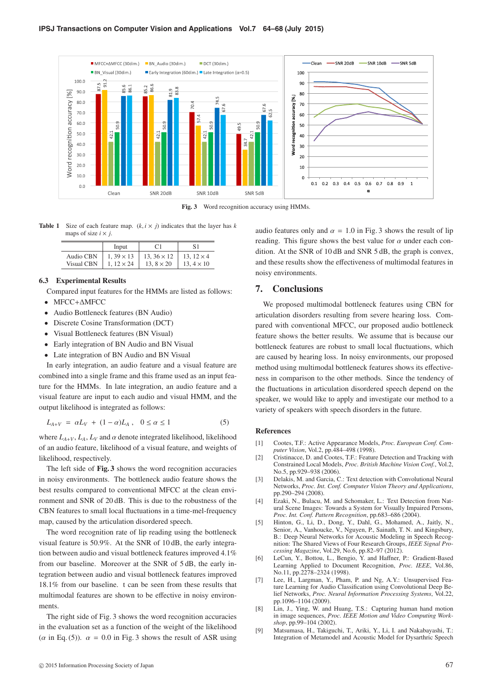

**Fig. 3** Word recognition accuracy using HMMs.

**Table 1** Size of each feature map.  $(k, i \times j)$  indicates that the layer has *k* maps of size  $i \times j$ .

|                   | Input            |                   |                  |
|-------------------|------------------|-------------------|------------------|
| Audio CBN         | $1.39 \times 13$ | 13.36 $\times$ 12 | 13.12 $\times$ 4 |
| <b>Visual CBN</b> | 1.12 $\times$ 24 | 13.8 $\times$ 20  | $13.4 \times 10$ |

#### **6.3 Experimental Results**

Compared input features for the HMMs are listed as follows:

- MFCC+ΔMFCC
- Audio Bottleneck features (BN Audio)
- Discrete Cosine Transformation (DCT)
- Visual Bottleneck features (BN Visual)
- Early integration of BN Audio and BN Visual
- Late integration of BN Audio and BN Visual

In early integration, an audio feature and a visual feature are combined into a single frame and this frame used as an input feature for the HMMs. In late integration, an audio feature and a visual feature are input to each audio and visual HMM, and the output likelihood is integrated as follows:

$$
L_{A+V} = \alpha L_V + (1 - \alpha)L_A, \quad 0 \le \alpha \le 1
$$
 (5)

where  $L_{A+V}$ ,  $L_A$ ,  $L_V$  and  $\alpha$  denote integrated likelihood, likelihood of an audio feature, likelihood of a visual feature, and weights of likelihood, respectively.

The left side of **Fig. 3** shows the word recognition accuracies in noisy environments. The bottleneck audio feature shows the best results compared to conventional MFCC at the clean environment and SNR of 20 dB. This is due to the robustness of the CBN features to small local fluctuations in a time-mel-frequency map, caused by the articulation disordered speech.

The word recognition rate of lip reading using the bottleneck visual feature is 50.9%. At the SNR of 10 dB, the early integration between audio and visual bottleneck features improved 4.1% from our baseline. Moreover at the SNR of 5 dB, the early integration between audio and visual bottleneck features improved 18.1% from our baseline. t can be seen from these results that multimodal features are shown to be effective in noisy environments.

The right side of Fig. 3 shows the word recognition accuracies in the evaluation set as a function of the weight of the likelihood ( $\alpha$  in Eq. (5)).  $\alpha = 0.0$  in Fig. 3 shows the result of ASR using

-c 2015 Information Processing Society of Japan 67

audio features only and  $\alpha = 1.0$  in Fig. 3 shows the result of lip reading. This figure shows the best value for  $\alpha$  under each condition. At the SNR of 10 dB and SNR 5 dB, the graph is convex, and these results show the effectiveness of multimodal features in noisy environments.

#### **7. Conclusions**

We proposed multimodal bottleneck features using CBN for articulation disorders resulting from severe hearing loss. Compared with conventional MFCC, our proposed audio bottleneck feature shows the better results. We assume that is because our bottleneck features are robust to small local fluctuations, which are caused by hearing loss. In noisy environments, our proposed method using multimodal bottleneck features shows its effectiveness in comparison to the other methods. Since the tendency of the fluctuations in articulation disordered speech depend on the speaker, we would like to apply and investigate our method to a variety of speakers with speech disorders in the future.

#### **References**

- [1] Cootes, T.F.: Active Appearance Models, *Proc. European Conf. Computer Vision*, Vol.2, pp.484–498 (1998).
- [2] Cristinacce, D. and Cootes, T.F.: Feature Detection and Tracking with Constrained Local Models, *Proc. British Machine Vision Conf.*, Vol.2, No.5, pp.929–938 (2006).
- [3] Delakis, M. and Garcia, C.: Text detection with Convolutional Neural Networks, *Proc. Int. Conf. Computer Vision Theory and Applications*, pp.290–294 (2008).
- [4] Ezaki, N., Bulacu, M. and Schomaker, L.: Text Detection from Natural Scene Images: Towards a System for Visually Impaired Persons, *Proc. Int. Conf. Pattern Recognition*, pp.683–686 (2004).
- [5] Hinton, G., Li, D., Dong, Y., Dahl, G., Mohamed, A., Jaitly, N., Senior, A., Vanhoucke, V., Nguyen, P., Sainath, T. N. and Kingsbury, B.: Deep Neural Networks for Acoustic Modeling in Speech Recognition: The Shared Views of Four Research Groups, *IEEE Signal Processing Magazine*, Vol.29, No.6, pp.82–97 (2012).
- [6] LeCun, Y., Bottou, L., Bengio, Y. and Haffner, P.: Gradient-Based Learning Applied to Document Recognition, *Proc. IEEE*, Vol.86, No.11, pp.2278–2324 (1998).
- [7] Lee, H., Largman, Y., Pham, P. and Ng, A.Y.: Unsupervised Feature Learning for Audio Classification using Convolutional Deep Belief Networks, *Proc. Neural Information Processing Systems*, Vol.22, pp.1096–1104 (2009).
- [8] Lin, J., Ying, W. and Huang, T.S.: Capturing human hand motion in image sequences, *Proc. IEEE Motion and Video Computing Workshop*, pp.99–104 (2002).
- [9] Matsumasa, H., Takiguchi, T., Ariki, Y., Li, I. and Nakabayashi, T.: Integration of Metamodel and Acoustic Model for Dysarthric Speech